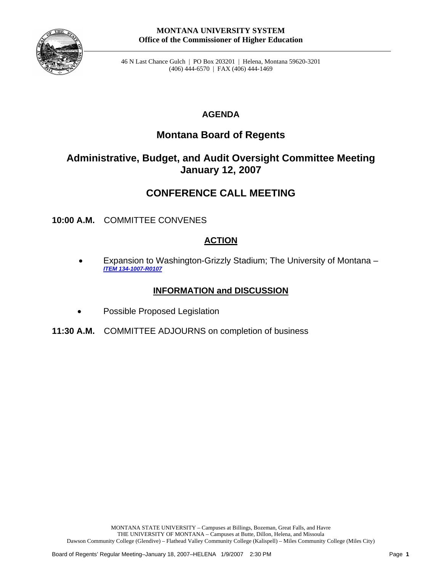

46 N Last Chance Gulch | PO Box 203201 | Helena, Montana 59620-3201 (406) 444-6570 | FAX (406) 444-1469

## **AGENDA**

# **Montana Board of Regents**

# **Administrative, Budget, and Audit Oversight Committee Meeting January 12, 2007**

# **CONFERENCE CALL MEETING**

**10:00 A.M.** COMMITTEE CONVENES

## **ACTION**

• Expansion to Washington-Grizzly Stadium; The University of Montana – *[ITEM 134-1007-R0107](#page-1-0)*

## **INFORMATION and DISCUSSION**

- Possible Proposed Legislation
- **11:30 A.M.** COMMITTEE ADJOURNS on completion of business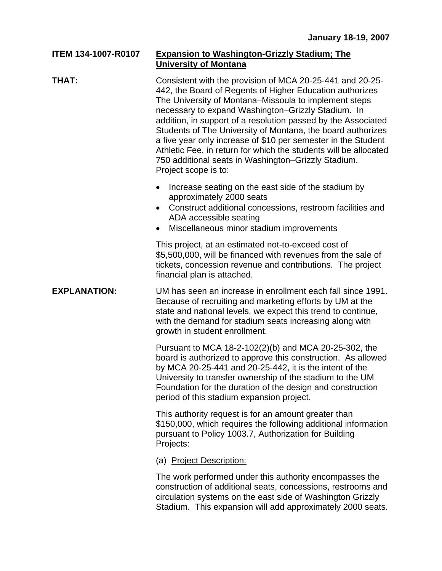#### <span id="page-1-0"></span>**ITEM 134-1007-R0107 Expansion to Washington-Grizzly Stadium; The University of Montana**

### **THAT:** Consistent with the provision of MCA 20-25-441 and 20-25- 442, the Board of Regents of Higher Education authorizes The University of Montana–Missoula to implement steps necessary to expand Washington–Grizzly Stadium. In addition, in support of a resolution passed by the Associated Students of The University of Montana, the board authorizes a five year only increase of \$10 per semester in the Student Athletic Fee, in return for which the students will be allocated 750 additional seats in Washington–Grizzly Stadium. Project scope is to:

- Increase seating on the east side of the stadium by approximately 2000 seats
- Construct additional concessions, restroom facilities and ADA accessible seating
- Miscellaneous minor stadium improvements

This project, at an estimated not-to-exceed cost of \$5,500,000, will be financed with revenues from the sale of tickets, concession revenue and contributions. The project financial plan is attached.

#### **EXPLANATION:** UM has seen an increase in enrollment each fall since 1991. Because of recruiting and marketing efforts by UM at the state and national levels, we expect this trend to continue, with the demand for stadium seats increasing along with growth in student enrollment.

Pursuant to MCA 18-2-102(2)(b) and MCA 20-25-302, the board is authorized to approve this construction. As allowed by MCA 20-25-441 and 20-25-442, it is the intent of the University to transfer ownership of the stadium to the UM Foundation for the duration of the design and construction period of this stadium expansion project.

This authority request is for an amount greater than \$150,000, which requires the following additional information pursuant to Policy 1003.7, Authorization for Building Projects:

#### (a) Project Description:

The work performed under this authority encompasses the construction of additional seats, concessions, restrooms and circulation systems on the east side of Washington Grizzly Stadium. This expansion will add approximately 2000 seats.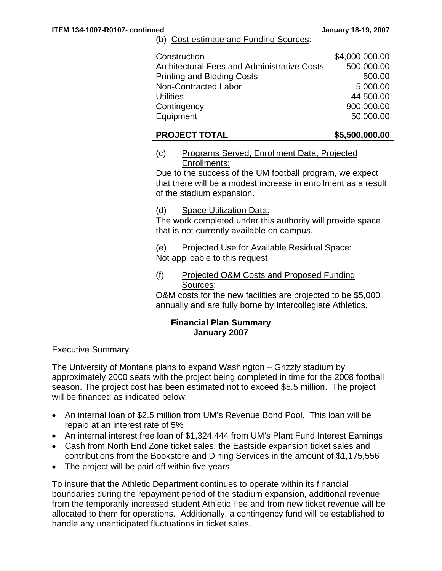#### (b) Cost estimate and Funding Sources:

| Construction                                       | \$4,000,000.00 |
|----------------------------------------------------|----------------|
| <b>Architectural Fees and Administrative Costs</b> | 500,000.00     |
| <b>Printing and Bidding Costs</b>                  | 500.00         |
| Non-Contracted Labor                               | 5,000.00       |
| <b>Utilities</b>                                   | 44,500.00      |
| Contingency                                        | 900,000.00     |
| Equipment                                          | 50,000.00      |

#### **PROJECT TOTAL \$5,500,000.00**

(c) Programs Served, Enrollment Data, Projected Enrollments:

Due to the success of the UM football program, we expect that there will be a modest increase in enrollment as a result of the stadium expansion.

(d) Space Utilization Data:

The work completed under this authority will provide space that is not currently available on campus.

(e) Projected Use for Available Residual Space: Not applicable to this request

(f) Projected O&M Costs and Proposed Funding Sources:

O&M costs for the new facilities are projected to be \$5,000 annually and are fully borne by Intercollegiate Athletics.

#### **Financial Plan Summary January 2007**

Executive Summary

The University of Montana plans to expand Washington – Grizzly stadium by approximately 2000 seats with the project being completed in time for the 2008 football season. The project cost has been estimated not to exceed \$5.5 million. The project will be financed as indicated below:

- An internal loan of \$2.5 million from UM's Revenue Bond Pool. This loan will be repaid at an interest rate of 5%
- An internal interest free loan of \$1,324,444 from UM's Plant Fund Interest Earnings
- Cash from North End Zone ticket sales, the Eastside expansion ticket sales and contributions from the Bookstore and Dining Services in the amount of \$1,175,556
- The project will be paid off within five years

To insure that the Athletic Department continues to operate within its financial boundaries during the repayment period of the stadium expansion, additional revenue from the temporarily increased student Athletic Fee and from new ticket revenue will be allocated to them for operations. Additionally, a contingency fund will be established to handle any unanticipated fluctuations in ticket sales.